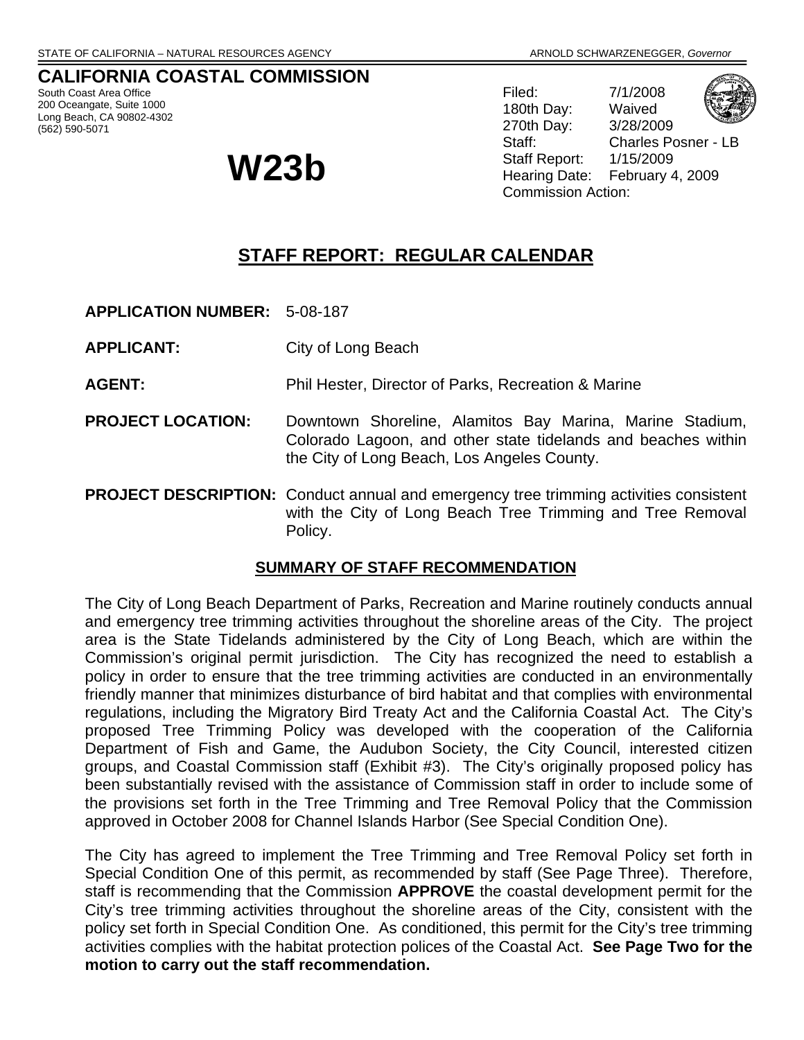#### **CALIFORNIA COASTAL COMMISSION**

South Coast Area Office 200 Oceangate, Suite 1000 Long Beach, CA 90802-4302 (562) 590-5071

Filed: 7/1/2008 180th Day: Waived 270th Day: 3/28/2009 Staff: Charles Posner - LB Staff Report: 1/15/2009 **W23b** Staff Report: 1/15/2009<br>Hearing Date: February 4, 2009 Commission Action:

## **STAFF REPORT: REGULAR CALENDAR**

**APPLICATION NUMBER:** 5-08-187

**APPLICANT:** City of Long Beach

**AGENT:** Phil Hester, Director of Parks, Recreation & Marine

- **PROJECT LOCATION:** Downtown Shoreline, Alamitos Bay Marina, Marine Stadium, Colorado Lagoon, and other state tidelands and beaches within the City of Long Beach, Los Angeles County.
- **PROJECT DESCRIPTION:** Conduct annual and emergency tree trimming activities consistent with the City of Long Beach Tree Trimming and Tree Removal Policy.

#### **SUMMARY OF STAFF RECOMMENDATION**

The City of Long Beach Department of Parks, Recreation and Marine routinely conducts annual and emergency tree trimming activities throughout the shoreline areas of the City. The project area is the State Tidelands administered by the City of Long Beach, which are within the Commission's original permit jurisdiction. The City has recognized the need to establish a policy in order to ensure that the tree trimming activities are conducted in an environmentally friendly manner that minimizes disturbance of bird habitat and that complies with environmental regulations, including the Migratory Bird Treaty Act and the California Coastal Act. The City's proposed Tree Trimming Policy was developed with the cooperation of the California Department of Fish and Game, the Audubon Society, the City Council, interested citizen groups, and Coastal Commission staff (Exhibit #3). The City's originally proposed policy has been substantially revised with the assistance of Commission staff in order to include some of the provisions set forth in the Tree Trimming and Tree Removal Policy that the Commission approved in October 2008 for Channel Islands Harbor (See Special Condition One).

The City has agreed to implement the Tree Trimming and Tree Removal Policy set forth in Special Condition One of this permit, as recommended by staff (See Page Three). Therefore, staff is recommending that the Commission **APPROVE** the coastal development permit for the City's tree trimming activities throughout the shoreline areas of the City, consistent with the policy set forth in Special Condition One. As conditioned, this permit for the City's tree trimming activities complies with the habitat protection polices of the Coastal Act. **See Page Two for the motion to carry out the staff recommendation.**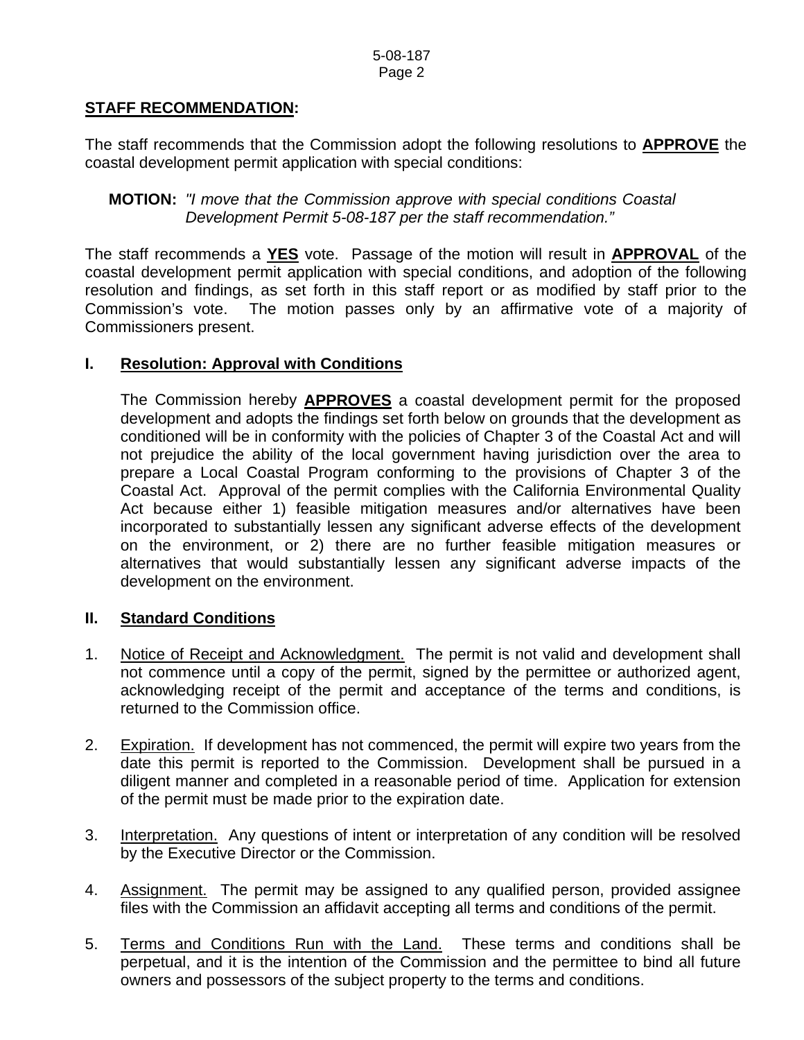### **STAFF RECOMMENDATION:**

The staff recommends that the Commission adopt the following resolutions to **APPROVE** the coastal development permit application with special conditions:

**MOTION:** *"I move that the Commission approve with special conditions Coastal Development Permit 5-08-187 per the staff recommendation."* 

The staff recommends a **YES** vote. Passage of the motion will result in **APPROVAL** of the coastal development permit application with special conditions, and adoption of the following resolution and findings, as set forth in this staff report or as modified by staff prior to the Commission's vote. The motion passes only by an affirmative vote of a majority of Commissioners present.

#### **I. Resolution: Approval with Conditions**

 The Commission hereby **APPROVES** a coastal development permit for the proposed development and adopts the findings set forth below on grounds that the development as conditioned will be in conformity with the policies of Chapter 3 of the Coastal Act and will not prejudice the ability of the local government having jurisdiction over the area to prepare a Local Coastal Program conforming to the provisions of Chapter 3 of the Coastal Act. Approval of the permit complies with the California Environmental Quality Act because either 1) feasible mitigation measures and/or alternatives have been incorporated to substantially lessen any significant adverse effects of the development on the environment, or 2) there are no further feasible mitigation measures or alternatives that would substantially lessen any significant adverse impacts of the development on the environment.

#### **II. Standard Conditions**

- 1. Notice of Receipt and Acknowledgment. The permit is not valid and development shall not commence until a copy of the permit, signed by the permittee or authorized agent, acknowledging receipt of the permit and acceptance of the terms and conditions, is returned to the Commission office.
- 2. Expiration. If development has not commenced, the permit will expire two years from the date this permit is reported to the Commission. Development shall be pursued in a diligent manner and completed in a reasonable period of time. Application for extension of the permit must be made prior to the expiration date.
- 3. Interpretation. Any questions of intent or interpretation of any condition will be resolved by the Executive Director or the Commission.
- 4. Assignment. The permit may be assigned to any qualified person, provided assignee files with the Commission an affidavit accepting all terms and conditions of the permit.
- 5. Terms and Conditions Run with the Land. These terms and conditions shall be perpetual, and it is the intention of the Commission and the permittee to bind all future owners and possessors of the subject property to the terms and conditions.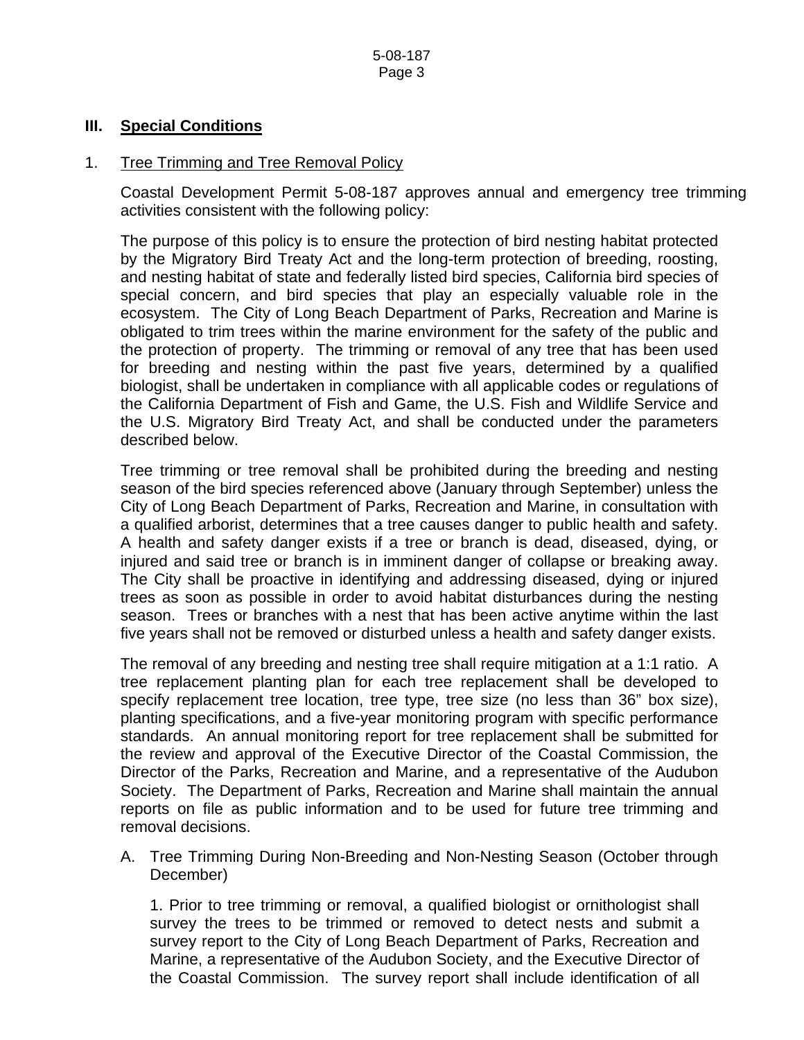#### **III. Special Conditions**

#### 1. Tree Trimming and Tree Removal Policy

Coastal Development Permit 5-08-187 approves annual and emergency tree trimming activities consistent with the following policy:

The purpose of this policy is to ensure the protection of bird nesting habitat protected by the Migratory Bird Treaty Act and the long-term protection of breeding, roosting, and nesting habitat of state and federally listed bird species, California bird species of special concern, and bird species that play an especially valuable role in the ecosystem. The City of Long Beach Department of Parks, Recreation and Marine is obligated to trim trees within the marine environment for the safety of the public and the protection of property. The trimming or removal of any tree that has been used for breeding and nesting within the past five years, determined by a qualified biologist, shall be undertaken in compliance with all applicable codes or regulations of the California Department of Fish and Game, the U.S. Fish and Wildlife Service and the U.S. Migratory Bird Treaty Act, and shall be conducted under the parameters described below.

Tree trimming or tree removal shall be prohibited during the breeding and nesting season of the bird species referenced above (January through September) unless the City of Long Beach Department of Parks, Recreation and Marine, in consultation with a qualified arborist, determines that a tree causes danger to public health and safety. A health and safety danger exists if a tree or branch is dead, diseased, dying, or injured and said tree or branch is in imminent danger of collapse or breaking away. The City shall be proactive in identifying and addressing diseased, dying or injured trees as soon as possible in order to avoid habitat disturbances during the nesting season. Trees or branches with a nest that has been active anytime within the last five years shall not be removed or disturbed unless a health and safety danger exists.

The removal of any breeding and nesting tree shall require mitigation at a 1:1 ratio. A tree replacement planting plan for each tree replacement shall be developed to specify replacement tree location, tree type, tree size (no less than 36" box size), planting specifications, and a five-year monitoring program with specific performance standards. An annual monitoring report for tree replacement shall be submitted for the review and approval of the Executive Director of the Coastal Commission, the Director of the Parks, Recreation and Marine, and a representative of the Audubon Society. The Department of Parks, Recreation and Marine shall maintain the annual reports on file as public information and to be used for future tree trimming and removal decisions.

A. Tree Trimming During Non-Breeding and Non-Nesting Season (October through December)

1. Prior to tree trimming or removal, a qualified biologist or ornithologist shall survey the trees to be trimmed or removed to detect nests and submit a survey report to the City of Long Beach Department of Parks, Recreation and Marine, a representative of the Audubon Society, and the Executive Director of the Coastal Commission. The survey report shall include identification of all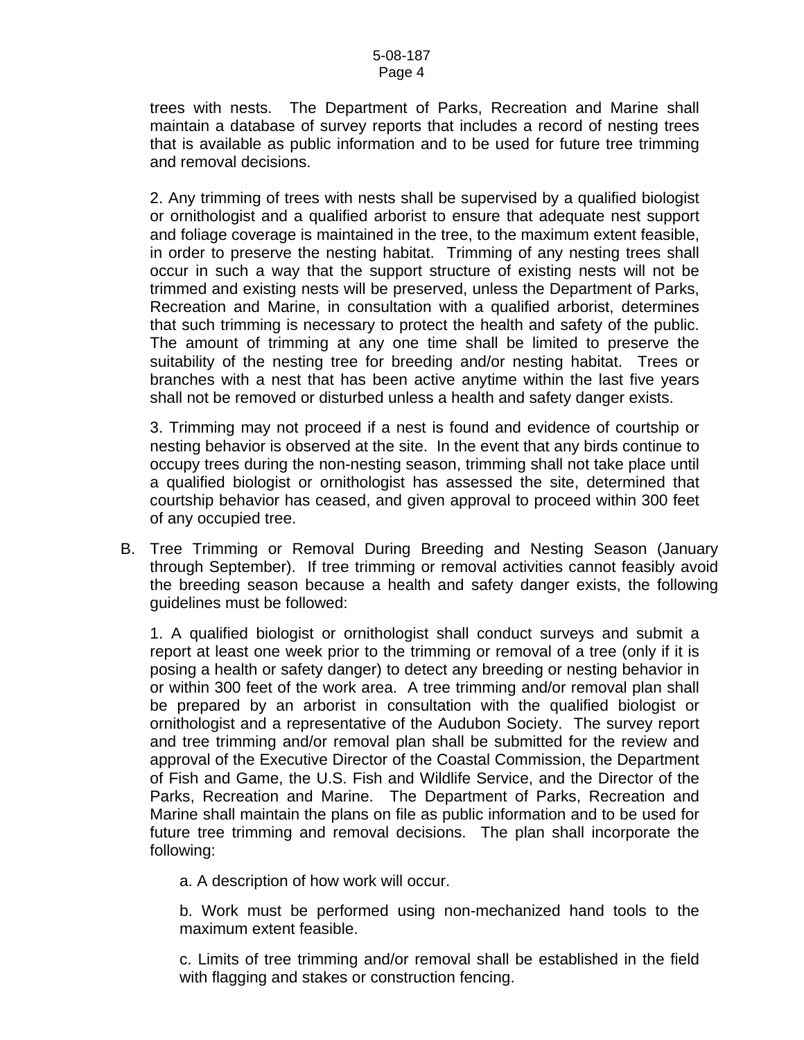trees with nests. The Department of Parks, Recreation and Marine shall maintain a database of survey reports that includes a record of nesting trees that is available as public information and to be used for future tree trimming and removal decisions.

2. Any trimming of trees with nests shall be supervised by a qualified biologist or ornithologist and a qualified arborist to ensure that adequate nest support and foliage coverage is maintained in the tree, to the maximum extent feasible, in order to preserve the nesting habitat. Trimming of any nesting trees shall occur in such a way that the support structure of existing nests will not be trimmed and existing nests will be preserved, unless the Department of Parks, Recreation and Marine, in consultation with a qualified arborist, determines that such trimming is necessary to protect the health and safety of the public. The amount of trimming at any one time shall be limited to preserve the suitability of the nesting tree for breeding and/or nesting habitat. Trees or branches with a nest that has been active anytime within the last five years shall not be removed or disturbed unless a health and safety danger exists.

3. Trimming may not proceed if a nest is found and evidence of courtship or nesting behavior is observed at the site. In the event that any birds continue to occupy trees during the non-nesting season, trimming shall not take place until a qualified biologist or ornithologist has assessed the site, determined that courtship behavior has ceased, and given approval to proceed within 300 feet of any occupied tree.

B. Tree Trimming or Removal During Breeding and Nesting Season (January through September). If tree trimming or removal activities cannot feasibly avoid the breeding season because a health and safety danger exists, the following guidelines must be followed:

1. A qualified biologist or ornithologist shall conduct surveys and submit a report at least one week prior to the trimming or removal of a tree (only if it is posing a health or safety danger) to detect any breeding or nesting behavior in or within 300 feet of the work area. A tree trimming and/or removal plan shall be prepared by an arborist in consultation with the qualified biologist or ornithologist and a representative of the Audubon Society. The survey report and tree trimming and/or removal plan shall be submitted for the review and approval of the Executive Director of the Coastal Commission, the Department of Fish and Game, the U.S. Fish and Wildlife Service, and the Director of the Parks, Recreation and Marine. The Department of Parks, Recreation and Marine shall maintain the plans on file as public information and to be used for future tree trimming and removal decisions. The plan shall incorporate the following:

a. A description of how work will occur.

b. Work must be performed using non-mechanized hand tools to the maximum extent feasible.

c. Limits of tree trimming and/or removal shall be established in the field with flagging and stakes or construction fencing.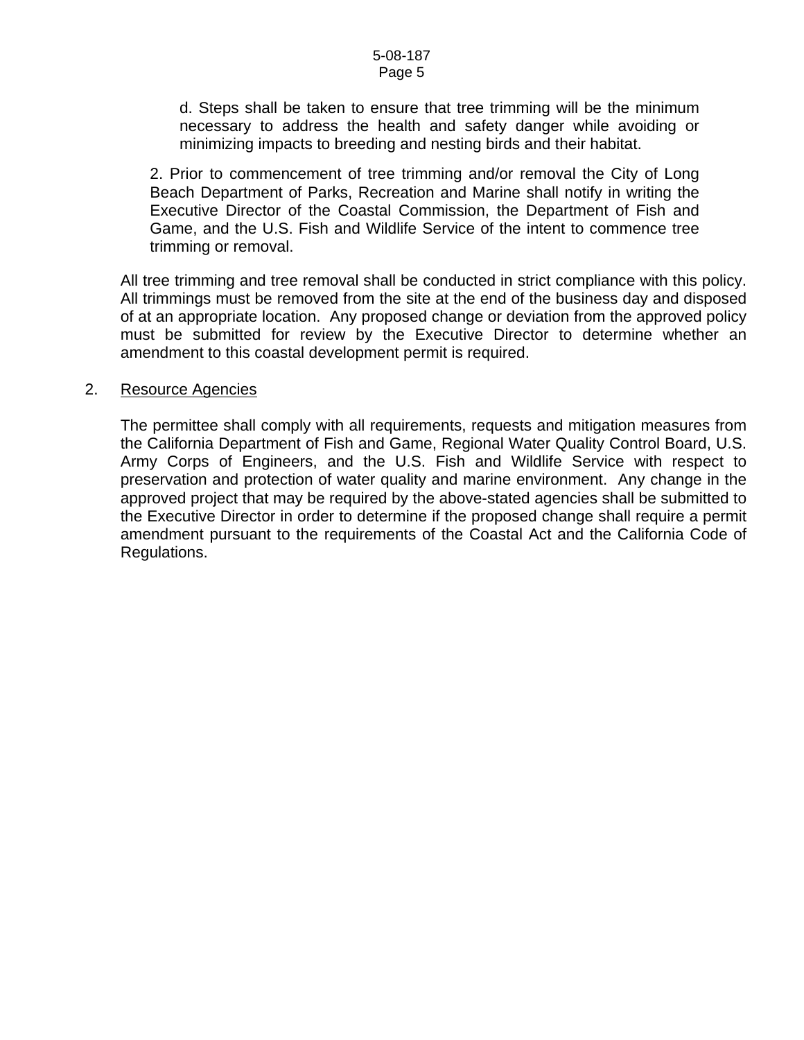d. Steps shall be taken to ensure that tree trimming will be the minimum necessary to address the health and safety danger while avoiding or minimizing impacts to breeding and nesting birds and their habitat.

2. Prior to commencement of tree trimming and/or removal the City of Long Beach Department of Parks, Recreation and Marine shall notify in writing the Executive Director of the Coastal Commission, the Department of Fish and Game, and the U.S. Fish and Wildlife Service of the intent to commence tree trimming or removal.

All tree trimming and tree removal shall be conducted in strict compliance with this policy. All trimmings must be removed from the site at the end of the business day and disposed of at an appropriate location. Any proposed change or deviation from the approved policy must be submitted for review by the Executive Director to determine whether an amendment to this coastal development permit is required.

#### 2. Resource Agencies

The permittee shall comply with all requirements, requests and mitigation measures from the California Department of Fish and Game, Regional Water Quality Control Board, U.S. Army Corps of Engineers, and the U.S. Fish and Wildlife Service with respect to preservation and protection of water quality and marine environment. Any change in the approved project that may be required by the above-stated agencies shall be submitted to the Executive Director in order to determine if the proposed change shall require a permit amendment pursuant to the requirements of the Coastal Act and the California Code of Regulations.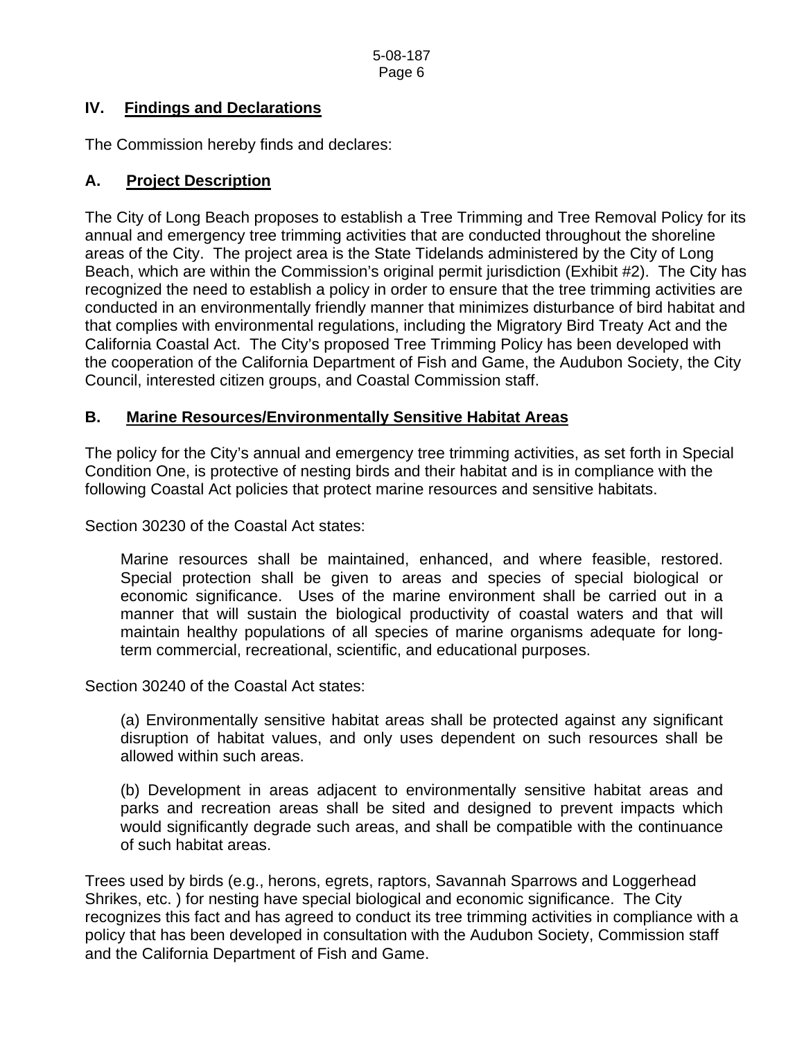### **IV. Findings and Declarations**

The Commission hereby finds and declares:

### **A. Project Description**

The City of Long Beach proposes to establish a Tree Trimming and Tree Removal Policy for its annual and emergency tree trimming activities that are conducted throughout the shoreline areas of the City. The project area is the State Tidelands administered by the City of Long Beach, which are within the Commission's original permit jurisdiction (Exhibit #2). The City has recognized the need to establish a policy in order to ensure that the tree trimming activities are conducted in an environmentally friendly manner that minimizes disturbance of bird habitat and that complies with environmental regulations, including the Migratory Bird Treaty Act and the California Coastal Act. The City's proposed Tree Trimming Policy has been developed with the cooperation of the California Department of Fish and Game, the Audubon Society, the City Council, interested citizen groups, and Coastal Commission staff.

### **B. Marine Resources/Environmentally Sensitive Habitat Areas**

The policy for the City's annual and emergency tree trimming activities, as set forth in Special Condition One, is protective of nesting birds and their habitat and is in compliance with the following Coastal Act policies that protect marine resources and sensitive habitats.

Section 30230 of the Coastal Act states:

Marine resources shall be maintained, enhanced, and where feasible, restored. Special protection shall be given to areas and species of special biological or economic significance. Uses of the marine environment shall be carried out in a manner that will sustain the biological productivity of coastal waters and that will maintain healthy populations of all species of marine organisms adequate for longterm commercial, recreational, scientific, and educational purposes.

Section 30240 of the Coastal Act states:

(a) Environmentally sensitive habitat areas shall be protected against any significant disruption of habitat values, and only uses dependent on such resources shall be allowed within such areas.

(b) Development in areas adjacent to environmentally sensitive habitat areas and parks and recreation areas shall be sited and designed to prevent impacts which would significantly degrade such areas, and shall be compatible with the continuance of such habitat areas.

Trees used by birds (e.g., herons, egrets, raptors, Savannah Sparrows and Loggerhead Shrikes, etc. ) for nesting have special biological and economic significance. The City recognizes this fact and has agreed to conduct its tree trimming activities in compliance with a policy that has been developed in consultation with the Audubon Society, Commission staff and the California Department of Fish and Game.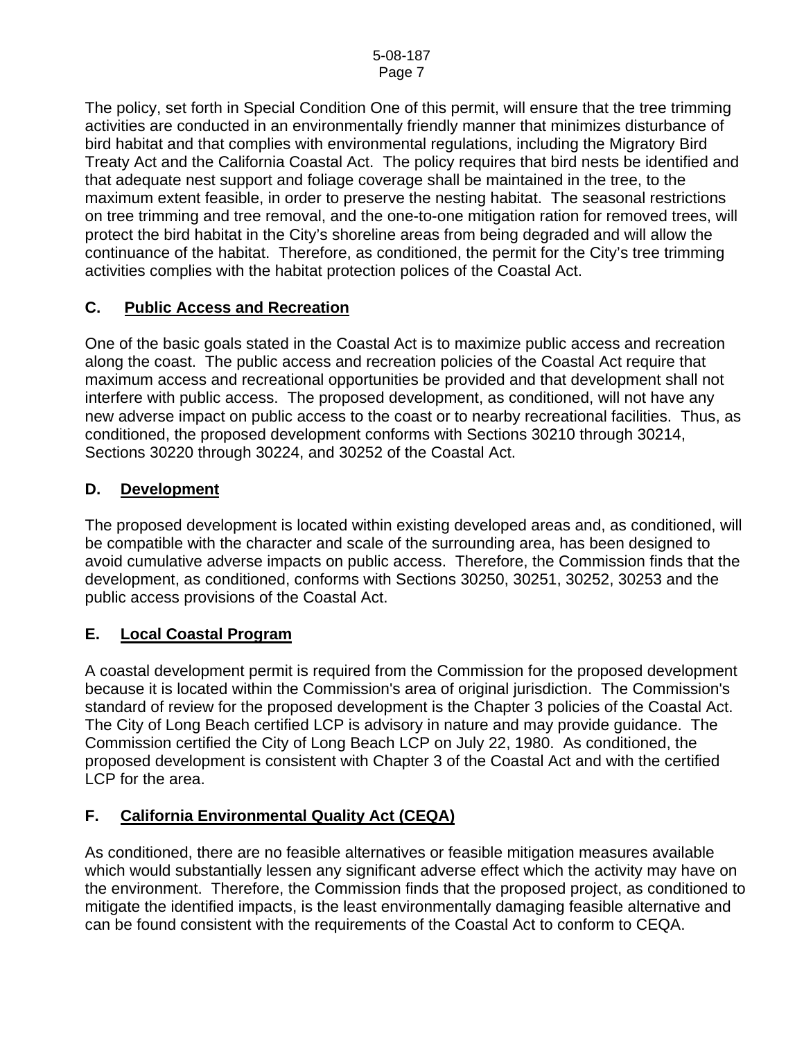The policy, set forth in Special Condition One of this permit, will ensure that the tree trimming activities are conducted in an environmentally friendly manner that minimizes disturbance of bird habitat and that complies with environmental regulations, including the Migratory Bird Treaty Act and the California Coastal Act. The policy requires that bird nests be identified and that adequate nest support and foliage coverage shall be maintained in the tree, to the maximum extent feasible, in order to preserve the nesting habitat. The seasonal restrictions on tree trimming and tree removal, and the one-to-one mitigation ration for removed trees, will protect the bird habitat in the City's shoreline areas from being degraded and will allow the continuance of the habitat. Therefore, as conditioned, the permit for the City's tree trimming activities complies with the habitat protection polices of the Coastal Act.

### **C. Public Access and Recreation**

One of the basic goals stated in the Coastal Act is to maximize public access and recreation along the coast. The public access and recreation policies of the Coastal Act require that maximum access and recreational opportunities be provided and that development shall not interfere with public access. The proposed development, as conditioned, will not have any new adverse impact on public access to the coast or to nearby recreational facilities. Thus, as conditioned, the proposed development conforms with Sections 30210 through 30214, Sections 30220 through 30224, and 30252 of the Coastal Act.

### **D. Development**

The proposed development is located within existing developed areas and, as conditioned, will be compatible with the character and scale of the surrounding area, has been designed to avoid cumulative adverse impacts on public access. Therefore, the Commission finds that the development, as conditioned, conforms with Sections 30250, 30251, 30252, 30253 and the public access provisions of the Coastal Act.

### **E. Local Coastal Program**

A coastal development permit is required from the Commission for the proposed development because it is located within the Commission's area of original jurisdiction. The Commission's standard of review for the proposed development is the Chapter 3 policies of the Coastal Act. The City of Long Beach certified LCP is advisory in nature and may provide guidance. The Commission certified the City of Long Beach LCP on July 22, 1980. As conditioned, the proposed development is consistent with Chapter 3 of the Coastal Act and with the certified LCP for the area.

### **F. California Environmental Quality Act (CEQA)**

As conditioned, there are no feasible alternatives or feasible mitigation measures available which would substantially lessen any significant adverse effect which the activity may have on the environment. Therefore, the Commission finds that the proposed project, as conditioned to mitigate the identified impacts, is the least environmentally damaging feasible alternative and can be found consistent with the requirements of the Coastal Act to conform to CEQA.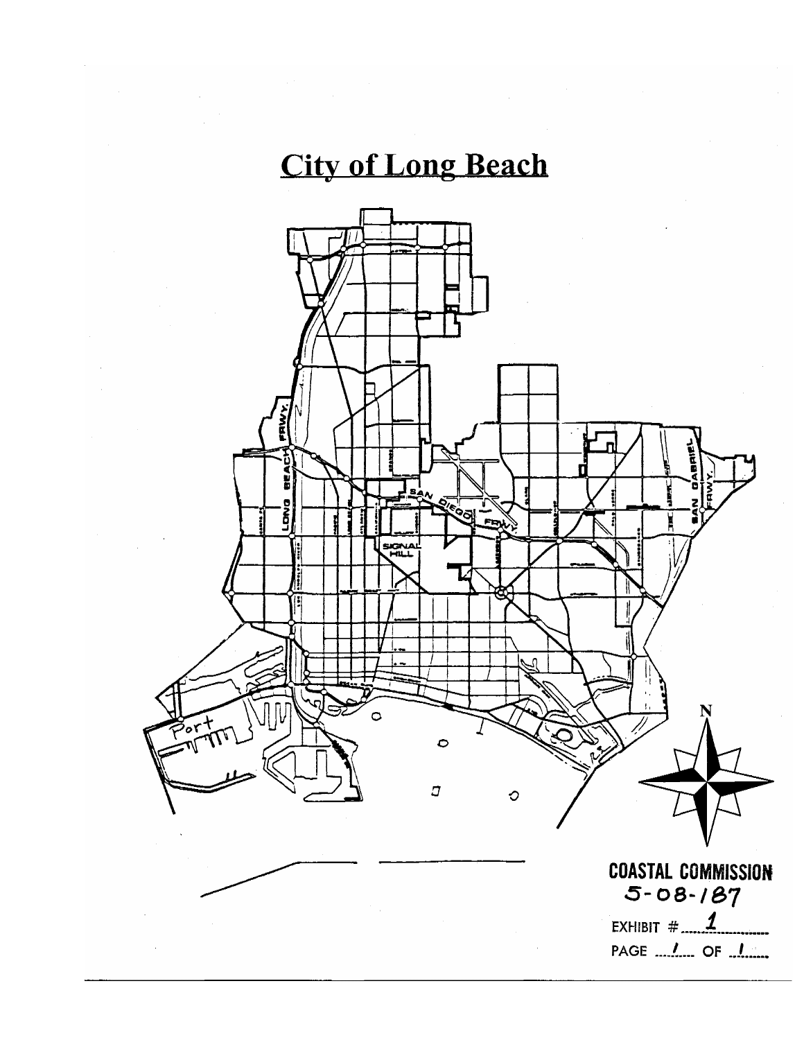# **City of Long Beach**

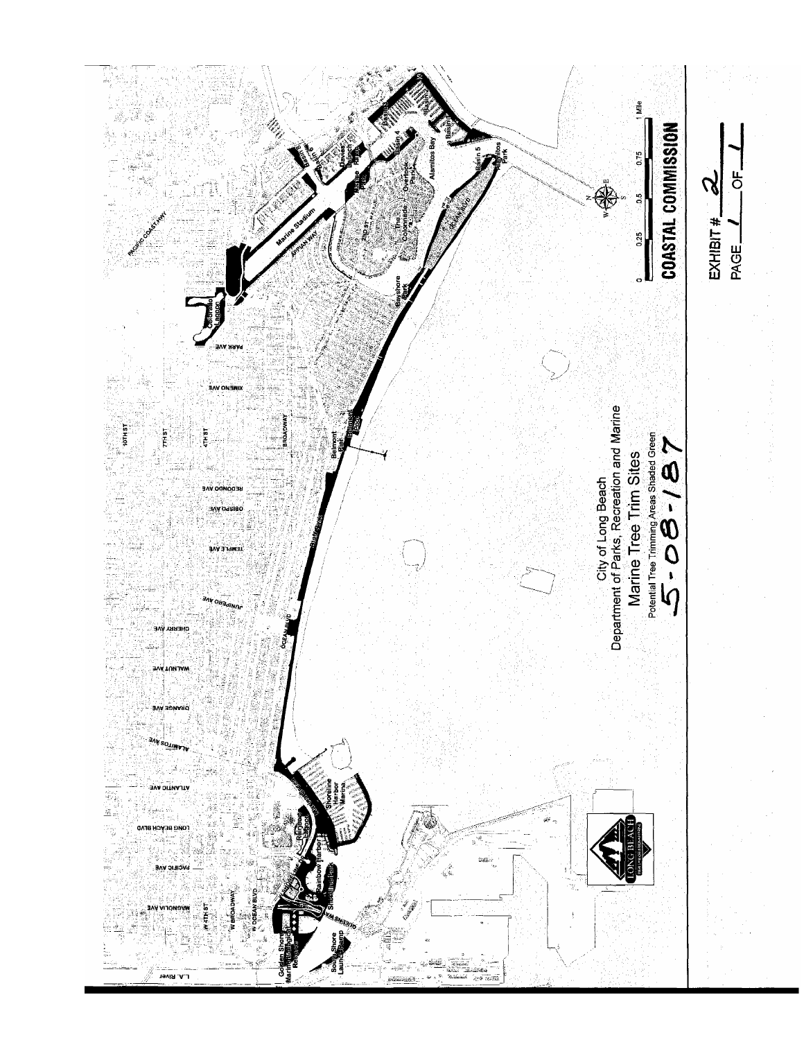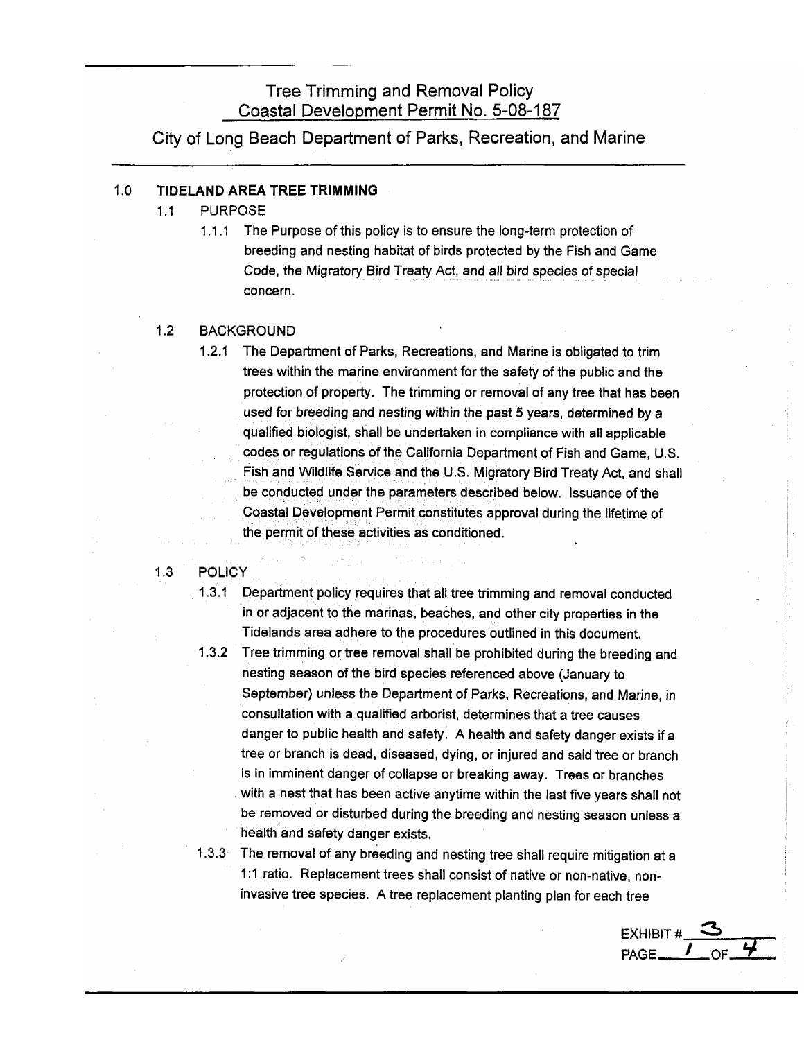### **Tree Trimming and Removal Policy** Coastal Development Permit No. 5-08-187

City of Long Beach Department of Parks, Recreation, and Marine

#### $1.0$ TIDELAND AREA TREE TRIMMING

- $1.1$ **PURPOSE** 
	- The Purpose of this policy is to ensure the long-term protection of  $1.1.1$ breeding and nesting habitat of birds protected by the Fish and Game Code, the Migratory Bird Treaty Act, and all bird species of special concern.

#### $1.2$ **BACKGROUND**

The Department of Parks, Recreations, and Marine is obligated to trim  $1.2.1$ trees within the marine environment for the safety of the public and the protection of property. The trimming or removal of any tree that has been used for breeding and nesting within the past 5 years, determined by a qualified biologist, shall be undertaken in compliance with all applicable codes or regulations of the California Department of Fish and Game, U.S. Fish and Wildlife Service and the U.S. Migratory Bird Treaty Act, and shall be conducted under the parameters described below. Issuance of the Coastal Development Permit constitutes approval during the lifetime of the permit of these activities as conditioned.

#### $1.3$ **POLICY**

- $1.3.1$ Department policy requires that all tree trimming and removal conducted in or adjacent to the marinas, beaches, and other city properties in the Tidelands area adhere to the procedures outlined in this document.
- 1.3.2 Tree trimming or tree removal shall be prohibited during the breeding and nesting season of the bird species referenced above (January to September) unless the Department of Parks, Recreations, and Marine, in consultation with a qualified arborist, determines that a tree causes danger to public health and safety. A health and safety danger exists if a tree or branch is dead, diseased, dying, or injured and said tree or branch is in imminent danger of collapse or breaking away. Trees or branches with a nest that has been active anytime within the last five years shall not be removed or disturbed during the breeding and nesting season unless a health and safety danger exists.
- 1.3.3 The removal of any breeding and nesting tree shall require mitigation at a 1:1 ratio. Replacement trees shall consist of native or non-native, noninvasive tree species. A tree replacement planting plan for each tree

 $EXHIBIT#$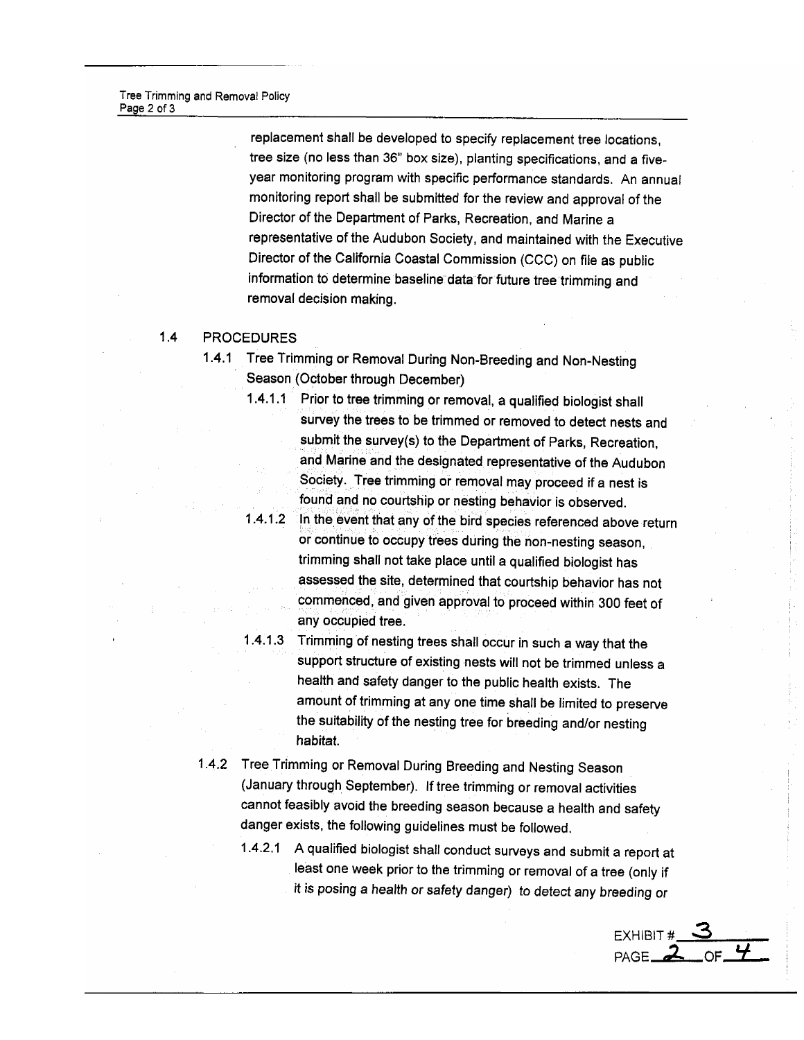replacement shall be developed to specify replacement tree locations, tree size (no less than 36" box size), planting specifications, and a fiveyear monitoring program with specific performance standards. An annual monitoring report shall be submitted for the review and approval of the Director of the Department of Parks, Recreation, and Marine a representative of the Audubon Society, and maintained with the Executive Director of the California Coastal Commission (CCC) on file as public information to determine baseline data for future tree trimming and removal decision making.

#### $1.4$ **PROCEDURES**

- 1.4.1 Tree Trimming or Removal During Non-Breeding and Non-Nesting Season (October through December)
	- 1.4.1.1 Prior to tree trimming or removal, a qualified biologist shall survey the trees to be trimmed or removed to detect nests and submit the survey(s) to the Department of Parks, Recreation, and Marine and the designated representative of the Audubon Society. Tree trimming or removal may proceed if a nest is found and no courtship or nesting behavior is observed.
	- $1.4.1.2$ In the event that any of the bird species referenced above return or continue to occupy trees during the non-nesting season, trimming shall not take place until a qualified biologist has assessed the site, determined that courtship behavior has not commenced, and given approval to proceed within 300 feet of any occupied tree.
	- 1.4.1.3 Trimming of nesting trees shall occur in such a way that the support structure of existing nests will not be trimmed unless a health and safety danger to the public health exists. The amount of trimming at any one time shall be limited to preserve the suitability of the nesting tree for breeding and/or nesting habitat.
- 1.4.2 Tree Trimming or Removal During Breeding and Nesting Season (January through September). If tree trimming or removal activities cannot feasibly avoid the breeding season because a health and safety danger exists, the following guidelines must be followed.
	- 1.4.2.1 A qualified biologist shall conduct surveys and submit a report at least one week prior to the trimming or removal of a tree (only if it is posing a health or safety danger) to detect any breeding or

EXHIBIT  $\frac{3}{2}$  OF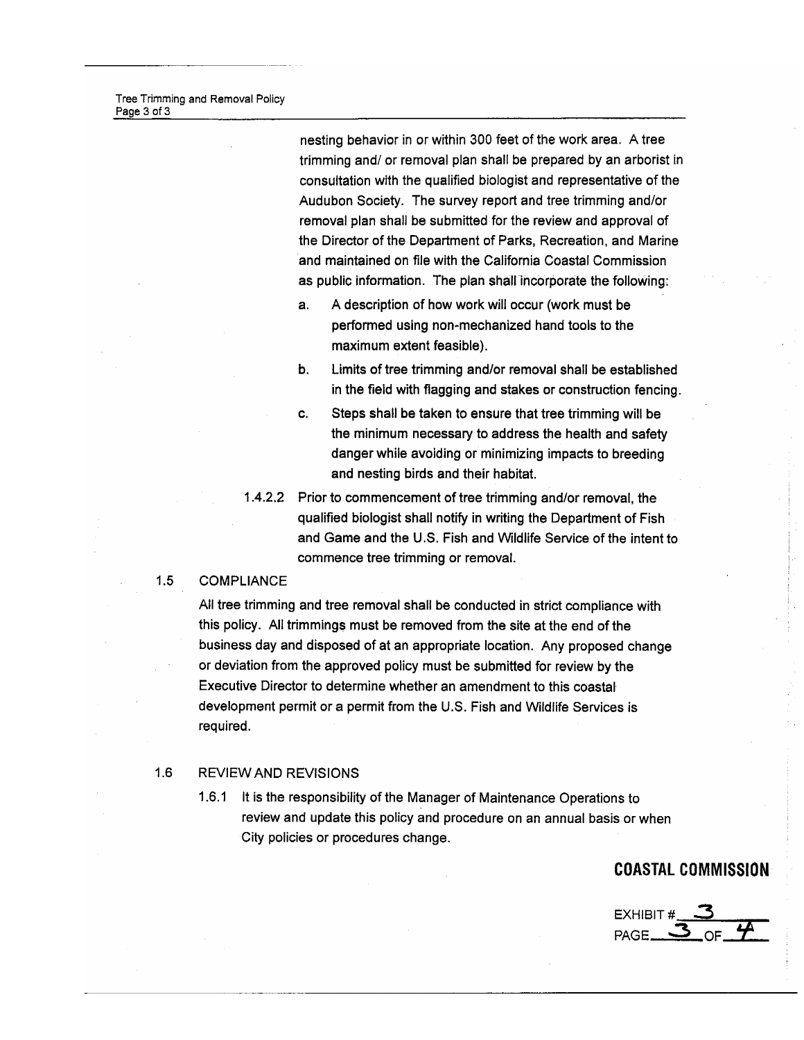Tree Trimming and Removal Policy Page 3 of 3

> nesting behavior in or within 300 feet of the work area. A tree trimming and/ or removal plan shall be prepared by an arborist in consultation with the qualified biologist and representative of the Audubon Society. The survey report and tree trimming and/or removal plan shall be submitted for the review and approval of the Director of the Department of Parks, Recreation, and Marine and maintained on file with the California Coastal Commission as public information. The plan shall incorporate the following:

- a. A description of how work will occur (work must be performed using non-mechanized hand tools to the maximum extent feasible).
- b. Limits of tree trimming and/or removal shall be established in the field with flagging and stakes or construction fencing.
- C. Steps shall be taken to ensure that tree trimming will be the minimum necessary to address the health and safety danger while avoiding or minimizing impacts to breeding and nesting birds and their habitat.
- 1.4.2.2 Prior to commencement of tree trimming and/or removal, the qualified biologist shall notify in writing the Department of Fish and Game and the U.S. Fish and Wildlife Service of the intent to commence tree trimming or removal.

#### $1.5$ **COMPLIANCE**

All tree trimming and tree removal shall be conducted in strict compliance with this policy. All trimmings must be removed from the site at the end of the business day and disposed of at an appropriate location. Any proposed change or deviation from the approved policy must be submitted for review by the Executive Director to determine whether an amendment to this coastal development permit or a permit from the U.S. Fish and Wildlife Services is required.

#### $1.6$ **REVIEW AND REVISIONS**

1.6.1 It is the responsibility of the Manager of Maintenance Operations to review and update this policy and procedure on an annual basis or when City policies or procedures change.

### **COASTAL COMMISSION**

EXHIBIT# PAGE.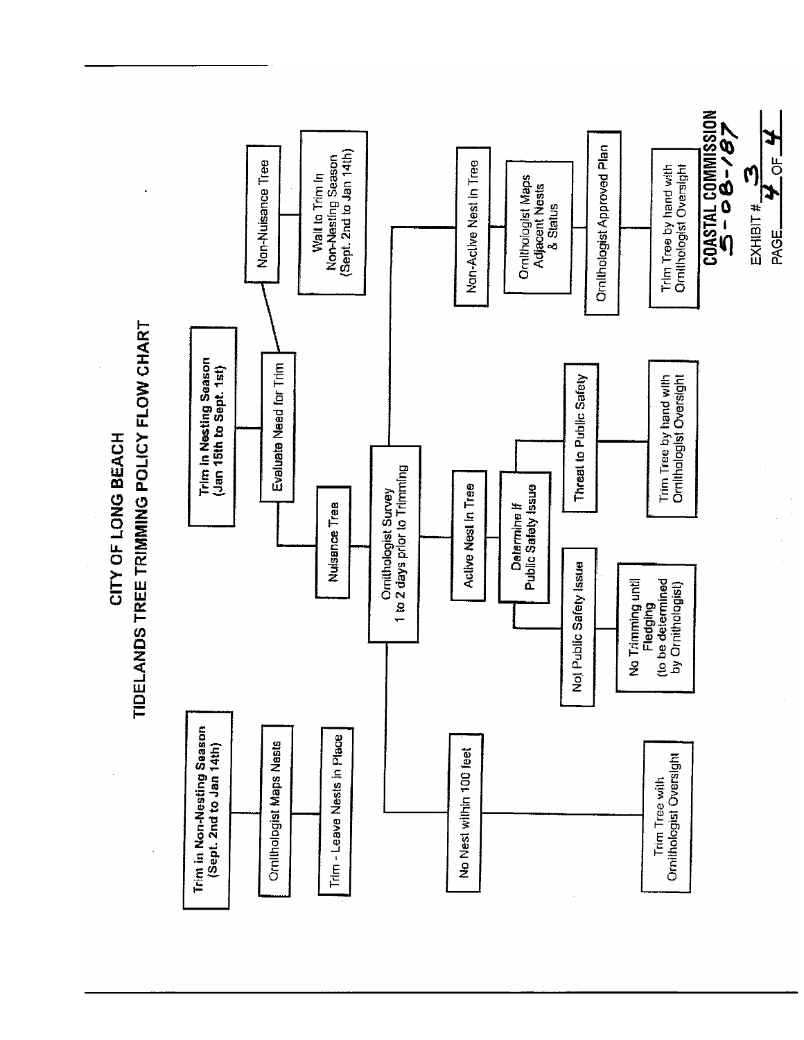TIDELANDS TREE TRIMMING POLICY FLOW CHART CITY OF LONG BEACH